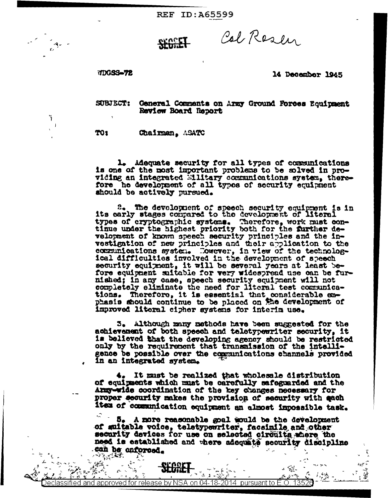**REF ID: A65599** 

Col Resen

TDGSS-72

٦  $\overline{1}$ 

## 14 December 1945

ī,  $\exp\widehat{\varphi}$ 

 $\frac{1}{2}$ 

SUBJECT: Ceneral Comments on Army Ground Forces Equipment Review Board Report

TO1 Chairman, ASATC

1. Adequate security for all types of communications is one of the most important problems to be solved in providing an integrated Military communications system, therefore he development of all types of security equipment should be actively pursued.

2. The development of speech security equipment is in its carly stages compared to the development of literal types of cryptographic systems. Therefore, work must con-<br>time under the highest priority both for the further development of known speech security principles and the investigation of new principles and their application to the communications system. However, in view of the technological difficulties involved in the development of speech security equipment, it will be several years at least before equipment suitable for very widespread use can be furnished; in any case, speech security equipment will not completely eliminate the need for literal test communications. Therefore, it is essential that considerable en-<br>phasis should continue to be placed on the development of improved literal cipher systems for interin use.

3. Although many methods have been suggested for the achievement of both speech and teletypeeriter security, it is believed that the developing agency should be restricted only by the requirement that transmission of the intelligence be possible over the communications channels provided in an integrated system.

4. It must be realized that wholesale distribution of equipments which must be carefully safeguarded and the Amny-wide coordination of the key changes necessary for proper security makes the provision of security with each iten of communication equipment an almost impossible task.

5. A more reasonable goal would be the development of suitable voice, teletypewriter, facsinile and other security devices for use on selected circuits where the need is established and where adoquate security discipline can be onforced.

sified and approved for release by NSA on 04-18-2014  $\,$  pursuant to E.O.

 $= 71.$